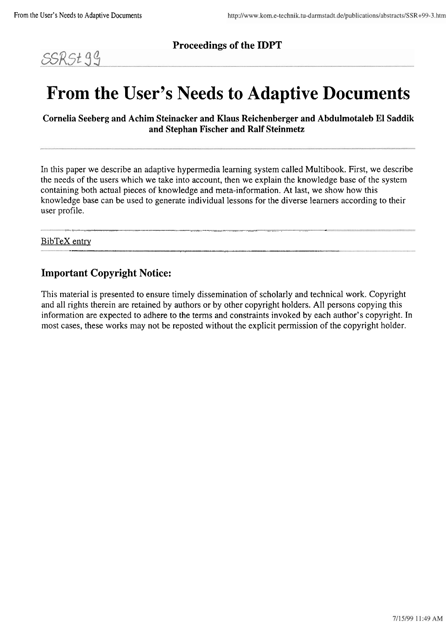

**Proceedings of the IDPT** 

# **From the User's Needs to Adaptive Documents**

**Cornelia Seeberg and Achim Steinacker and Klaus Reichenberger and Abdulmotaleb EI Saddik and Stephan Fischer and Ralf Steinmetz** 

In this paper we describe an adaptive hypermedia learning system called Multibook. First, we describe the needs of the Users which we take into account, then we explain the knowledge base of the system containing both actual pieces of knowledge and meta-information. At last, we show how this knowledge base can be used to generate individual lessons for the diverse learners according to their user profile.

:..- ----. **..........................................................** .. . . . . . . . . . . . . . . . . . . . . . . . . . . . . " . ...

" " . . . .

# BibTeX entry

# **Important Copyright Notice:**

This material is presented to ensure timely dissemination of scholarly and technical work. Copyright and all rights therein are retained by authors or by other copyright holders. All persons copying this information are expected to adhere to the terms and constraints invoked by each author's copyright. In most cases, these works may not be reposted without the explicit perrnission of the copyright holder.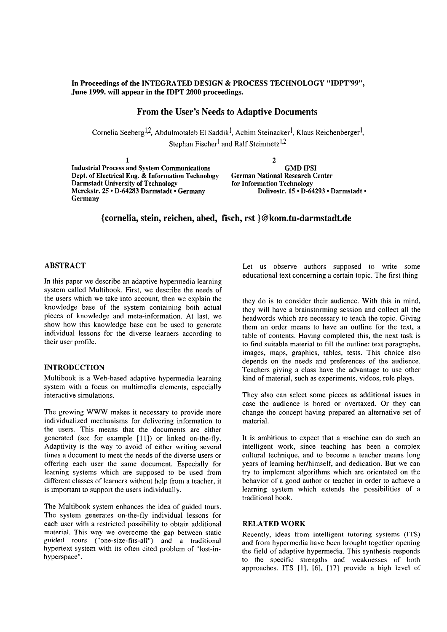# **In Proceedings of the INTEGRATED DESIGN** & **PROCESS TECHNOLOGY "IDPT'99", June 1999. will appear in the IDPT 2000 proceedings.**

# **From the User's Needs to Adaptive Documents**

Cornelia Seeberg<sup>1,2</sup>, Abdulmotaleb El Saddik<sup>1</sup>, Achim Steinacker<sup>l</sup>, Klaus Reichenberger<sup>l</sup>, Stephan Fischer<sup>l</sup> and Ralf Steinmetz<sup>1,2</sup>

**1 2 Industrial Process and System Communications** GMD IPSI<br> **Dept. of Electrical Eng. & Information Technology** German National Research Center **Dept. of Electrical Eng. & Information Technology Darmstadt University of Technology**<br>Merckstr. 25 · D-64283 Darmstadt • Germany **for Information Technology Merckstr. 25 · D-64293 · Darmstadt** • Merckstr. 25 · D-64283 Darmstadt · Germany **Germany** 

**{cornelia, stein, reichen, abed, fisch, rst )@kom.tu-darmstadt.de** 

#### **ABSTRACT**

In this paper we describe an adaptive hypermedia learning system called Multibook. First, we describe the needs of the users which we take into account, then we explain the knowledge base of the system containing both actual pieces of knowledge and meta-information. At last, we show how this knowledge base can be used to generate individual lessons for the diverse learners according to their user profile.

# **INTRODUCTION**

Multibook is a Web-based adaptive hypermedia learning system with a focus on multimedia elements, especially interactive simulations.

The growing WWW makes it necessary to provide more individualized mechanisms for delivering information to the users. This means that the documents are either generated (see for example [11]) or linked on-the-fly. Adaptivity is the way to avoid of either writing several times a document to meet the needs of the diverse users or offering each user the same document. Especially for learning systems which are supposed to be used from different classes of learners without help from a teacher, it is important to Support the users individually.

The Multibook system enhances the idea of guided tours. The system generates on-the-fly individual lessons for each user with a restricted possibility to obtain additional material. This way we overcome the gap between static guided tours ("one-size-fits-all") and a traditional hypertext system with its often cited problem of "lost-inhyperspace".

Let us observe authors supposed to write some educational text concerning a certain topic. The first thing

they do is to consider their audience. With this in mind, they will have a brainstorming session and collect all the headwords which are necessary to teach the topic. Giving them an order means to have an outline for the text, a table of contents. Having completed this, the next task is to find suitable material to fill the outline: text paragraphs, images, maps, graphics, tables, tests. This choice also depends on the needs and preferences of the audience. Teachers giving a class have the advantage to use other kind of material, such as experiments, videos, rote plays.

They also can select some pieces as additional issues in case the audience is bored or overtaxed. Or they can change the concept having prepared an alternative set of material.

It is ambitious to expect that a machine can do such an intelligent work, since teaching has been a complex cultural technique, and to become a teacher means long years of learning her/himself, and dedication. But we can try to implement algorithms which are orientated on the behavior of a good author or teacher in order to achieve a learning system which extends the possibilities of a traditional book.

### **RELATED WORK**

Recently, ideas from intelligent tutoring systems (ITS) and from hypermedia have been brought together opening the field of adaptive hypermedia. This synthesis responds to the specific strengths and weaknesses of both approaches. ITS [1], [6], [17] provide a high level of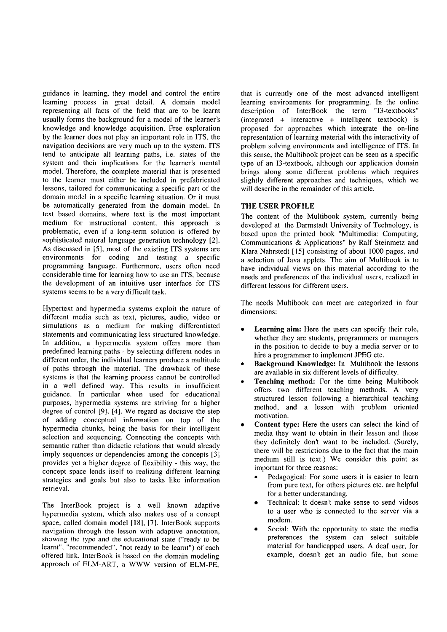guidance in learning, they model and control the entire learning process in great detail. A domain model representing all facts of the field that are to be learnt usually forms the background for a model of the learner's knowledge and knowledge acquisition. Free exploration by the learner does not play an important role in ITS, the navigation decisions are very much up to the system. ITS tend to anticipate all learning paths, i.e. states of the system and their implications for the learner's mental model. Therefore, the complete material that is presented to the learner must either be included in prefabricated lessons, tailored for communicating a specific part of the domain model in a specific learning situation. Or it must be automatically generated from the domain model. In text based domains, where text is the most important medium for instructional content, this approach is problematic, even if a long-term solution is offered by sophisticated natural language generation technology [2]. As discussed in  $[5]$ , most of the existing ITS systems are environments for coding and testing a specific programniing language. Furthermore, users often need considerable time for learning how to use an ITS, because the development of an intuitive user interface for ITS systems seems to be a very difficult task.

Hypertcxt and hypermedia systems exploit the nature of different media such as text, pictures, audio, video or simulations as a medium for making differentiated statements and communicating less structured knowledge. In addition, a hypermedia system offers more than predefined learning paths - by selecting different nodes in different order, the individual learners produce a multitude of paths through the material. The drawback of these systems is that the learning process cannot be controlled in a well defined way. This results in insufficient guidance. In particular when used for educational purposes, hypermedia systems are striving for a higher degree of control [9], [4]. We regard as decisive the step of adding conceptual information on top of the hypermedia chunks, being the basis for their intelligent selection and sequencing. Connecting the concepts with semantic rather than didactic relations that would already imply sequences or dependencies among the concepts [3] provides yet a higher degree of flexibility - this way, the concept space lends itself to realizing different learning strategies and goals but also to tasks like information retrieval.

The InterBook project is a well known adaptive hypermedia system, which also makes use of a concept space, called domain model [18], [7]. InterBook Supports navigation through the lesson with adaptive annotation, showing the type and the educational state ("ready to be learnt", "recommended", "not ready to be learnt") of each offered link. InterBook is based on the domain modeling approach of ELM-ART, a WWW version of ELM-PE,

that is currently one of the most advanced intelligent learning environments for programming. In the online description of InterBook the term "13-textbooks" (integrated + interactive + intelligent textbook) is proposed for approaches which integrate the on-line representation of learning material with the interactivity of problem solving environments and intelligence of ITS. In this sense, the Multibook project can be seen as a specific type of an 13-textbook, although our application domain brings along some different problems which requires slightly different approaches and techniques, which we will describe in the remainder of this article.

# **THE USER PROFILE**

The content of the Multibook system, currently being developed at the Darmstadt University of Technology, is based upon the printed book "Multimedia: Computing, Communications & Applications" by Ralf Steinmetz and Klara Nahrstedt [I51 consisting of about 1000 pages, and a selection of Java applets. The aim of Multibook is to have individual views on this material according to the needs and preferences of the individual users, realized in different lessons for different users.

The needs Multibook can meet are categorized in four dimensions:

- Learning aim: Here the users can specify their role, whether they are students, programmers or managers in the position to decide to buy a media server or to hire a programmer to implement JPEG etc.
- **Background Knowledge:** In Multibook the lessons are available in six different levels of difficulty.
- **Teaching method:** For the time being Multibook offers two different teaching methods. A very structured lesson following a hierarchical teaching method, and a lesson with problem oriented motivation.
- **Content type:** Here the users can select the kind of media they Want to obtain in their lesson and those they definitely don't Want to be included. (Surely, there will be restrictions due to the fact that the main medium still is text.) We consider this point as important for three reasons:
	- Pedagogical: For some users it is easier to learn from pure text, for others pictures etc. are helpful for a better understanding.
	- Technical: It doesn't make sense to send videos to a User who is connected to the server via a modern.
	- Social: With the opportunity to state the media preferences the system can select suitable material for handicapped users. A deaf user, for example, doesn't get an audio file, but some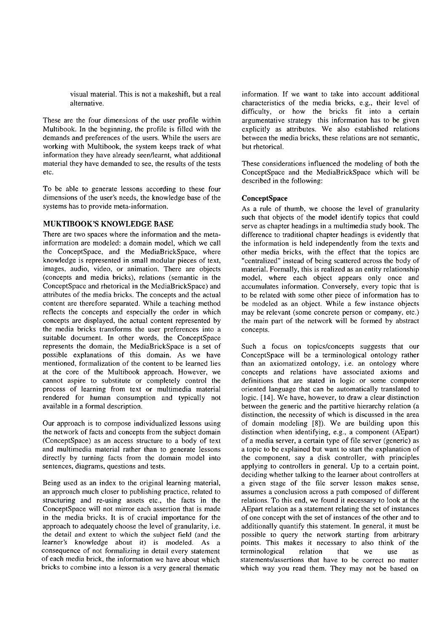visual material. This is not a makeshift, but a real alternative.

These are the four dimensions of the user profile within Multibook. In the beginning, the profile is filled with the demands and preferences of the users. While the users are working with Multibook, the system keeps track of what information they have already seen/learnt, what additional material they have demanded to See, the results of the tests etc.

To be able to generate lessons according to these four dimensions of the user's needs, the knowledge base of the systems has to provide meta-information.

# **MUKTIBOOK'S KNOWLEDGE BASE**

There are two spaces where the information and the metainformation are modeled: a domain model, which we call the ConceptSpace, and the MediaBrickSpace, where knowledge is represented in small modular pieces of text, images, audio, video, or animation. There are objects (concepts and media bricks), relations (semantic in the ConceptSpace and rhetorical in the MediaBrickSpace) and attributes of the media bricks. The concepts and the actual content are therefore separated. While a teaching method reflects the concepts and especially the order in which concepts are displayed, the actual content represented by the media bricks transforms the user preferences into a suitable document. In other words, the ConceptSpace represents the domain, the MediaBrickSpace is a set of possible explanations of this domain. As we have mentioned, formalization of the content to be learned lies at the core of the Multibook approach. However, we cannot aspire to substitute or completely control the process of learning from text or multimedia material rendered for human consumption and typically not available in a formal description.

Our approach is to compose individualized lessons using the network of facts and concepts from the subject domain (ConceptSpace) as an access structure to a body of text and multimedia material rather than to generate lessons directly by turning facts from the domain model into sentences, diagrams, questions and tests.

Being used as an index to the original learning material, an approach much closer to publishing practice, related to structuring and re-using assets etc., the facts in the ConceptSpace will not mirror each assertion that is made in the media bricks. It is of crucial importance for the approach to adequately choose the level of granularity, i.e. the detail and extent to which the subject field (and the learner's knowledge about it) is modeled. As a consequence of not formalizing in detail every statement of each media brick, the information we have about which bricks to combine into a lesson is a very general thematic

information. If we Want to take into account additional characteristics of the media bricks, e.g., their level of difficulty, or how the bricks fit into a certain argumentative strategy this information has to be given explicitly as attributes. We also established relations between the media bricks, these relations are not semantic, but rhetorical.

These considerations influenced the modeling of both the ConceptSpace and the MediaBrickSpace which will be described in the following:

# **ConceptSpace**

As a rule of thumb, we choose the level of granularity such that objects of the model identify topics that could serve as chapter headings in a multimedia study book. The difference to traditional chapter headings is evidently that the information is held independently from the texts and other media bricks, with the effect that the topics are "centralized" instead of being scattered across the body of material. Formally, this is realized as an entity relationship model, where each object appears only once and accumulates information. Conversely, every topic that is to be related with some other piece of information has to be modeled as an object. While a few instance objects may be relevant (some concrete person or company, etc.) the main part of the network will be formed by abstract concepts.

Such a focus on topics/concepts suggests that our ConceptSpace will be a terminological ontology rather than an axiomatized ontology, i.e. an ontology where concepts and relations have associated axioms and definitions that are stated in logic or some computer oriented language that can be automatically translated to logic. [14]. We have, however, to draw a clear distinction between the generic and the partitive hierarchy relation (a distinction, the necessity of which is discussed in the area of domain modeling [SI). We are building upon this distinction when identifying, e.g., a component (AEpart) of a media server, a certain type of file server (generic) as a topic to be explained but Want to Start the explanation of the component, say a disk controller, with principles applying to controllers in general. Up to a certain point, deciding whether talking to the learner about controllers at a given stage of the file server lesson makes sense, assumes a conclusion across a path composed of different relations. To this end, we found it necessary to look at the AEpart relation as a statement relating the set of instances of one concept with the Set of instances of the other and to additionally quantify this statement. In general, it must be possible to query the network starting from arbitrary points. This makes it necessary to also think of the terminological relation that we use as statementslassertions that have to be correct no matter which way you read them. They may not be based on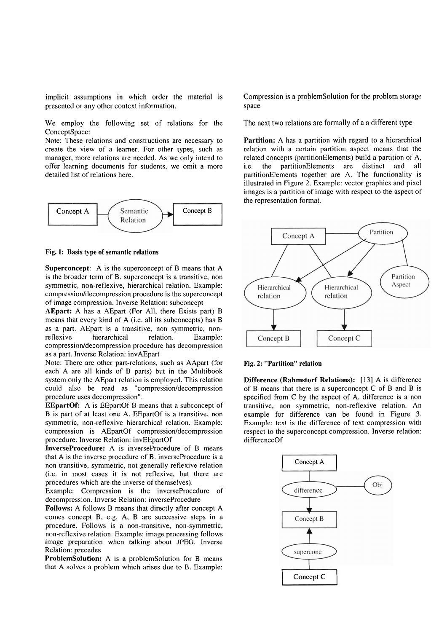implicit assumptions in which order the material is presented or any other context information.

We employ the following set of relations for the ConceptSpace:

Note: These relations and constructions are necessary to create the view of a learner. For other types, such as manager, more relations are needed. As we only intend to offer learning documents for students, we omit a more detailed list of relations here.



#### **Fig. 1: Basis type of semantic relations**

**Superconcept:** A is the superconcept of B means that A is the broader term of B. superconcept is a transitive, non symmetric, non-reflexive, hierarchical relation. Example: compression/decompression procedure is the superconcept of image compression. Inverse Relation: subconcept

**AEpart:** A has a AEpart (For All, there Exists part) B means that every kind of A (i.e. all its subconcepts) has B as a part. AEpart is a transitive, non symmetric, nonreflexive hierarchical relation. Example: compression/decompression procedure has decompression as a part. Inverse Relation: invAEpart

Note: There are other part-relations, such as AApart (for each A are all kinds of B parts) but in the Multibook system only the AEpart relation is employed. This relation could also be read as "compression/decompression procedure uses decompression".

**EEpartOf:** A is EEpartOf B means that a subconcept of B is part of at least one A. EEpartOf is a transitive, non symmetric, non-reflexive hierarchical relation. Example: compression is AEpartOf compression/decompression procedure. Inverse Relation: invEEpartOf

**InverseProcedure:** A is inverseProcedure of B means that A is the inverse procedure of B. inverseProcedure is a non transitive, symmetric, not generally reflexive relation (i.e. in most cases it is not reflexive, but there are procedures which are the inverse of themselves).

Example: Compression is the inverseProcedure of decompression. Inverse Relation: inverseProcedure

**Follows: A** follows **B** means that directly after concept **A**  comes concept B, e.g. A, B are successive steps in a procedure. Follows is a non-transitive, non-symmetric, non-reflexive relation. Example: image processing follows image preparation when talking about JPEG. Inverse Relation: precedes

**ProblemSolution:** A is a problemSolution for B means that A solves a problem which arises due to B. Example: Compression is a problemSolution for the problem storage space

The next two relations are formally of a a different type.

Partition: A has a partition with regard to a hierarchical relation with a certain partition aspect means that the related concepts (partitionElements) build a partition of A, i.e. the partitionEIements are distinct and all partitionElements together are A. The functionality is illustrated in Figure 2. Example: vector graphics and pixel images is a partition of image with respect to the aspect of the representation format.



#### **Fig. 2: "Partition" relation**

**Difference (Rahmstorf Relations): [I31** A is difference of B means that there is a superconcept C of B and B is specified from C by the aspect of A. difference is a non transitive, non symmetric, non-reflexive relation. An example for difference can be found in Figure **3.**  Example: text is the difference of text compression with respect to the superconcept compression. Inverse relation: differenceOf

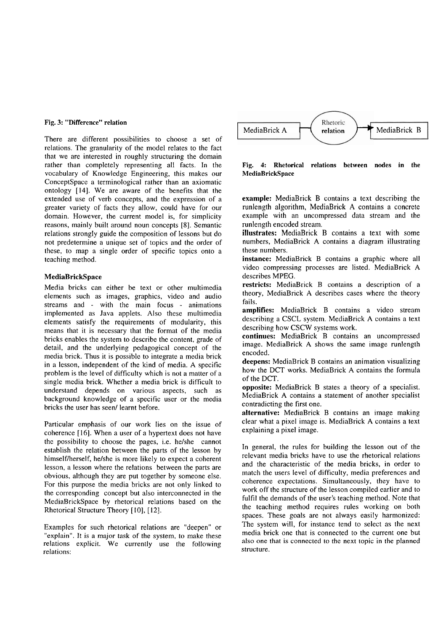## **Fig. 3: "Difference" relation**

There are different possibilities to choose a set of relations. The granularity of the model relates to the fact that we are interested in roughly structuring the domain rather than completely representing all facts. In the vocabulary of Knowledge Engineering, this makes our ConceptSpace a terminological rather than an axiomatic ontology [14]. We are aware of the benefits that the extended use of verb concepts, and the expression of a greater variety of facts they allow, could have for our domain. However, the current model is, for simplicity reasons, mainly built around noun concepts [8]. Semantic relations strongly guide the composition of lessons but do not predetermine a unique set of topics and the order of these, to map a single order of specific topics onto a teaching method.

#### **MediaBrickSpace**

Media bricks can either be text or other multimedia elements such as images, graphics, video and audio streams and - with the main focus - animations implemented as Java applets. Also these multimedia elements satisfy the requirements of modularity, this means that it is necessary that the format of the media bricks enables the system to describe the content, grade of detail, and the underlying pedagogical concept of the media brick. Thus it is possible to integrate a media brick in a lesson, independent of the kind of media. A specific problem is the level of difficulty which is not a matter of a single media brick. Whether a media brick is difficult to understand depends on various aspects, such as background knowledge of a specific user or the media bricks the user has seen/ learnt before.

Particular emphasis of our work lies on the issue of coherence [16]. When a user of a hypertext does not have the possibility to choose the pages, i.e. helshe cannot establish the relation between the parts of the lesson by himself/herself, he/she is more likely to expect a coherent lesson, a lesson where the relations between the parts are obvious, although they are put together by someone else. For this purpose the media bricks are not only linked to the corresponding concept but also interconnected in the MediaBrickSpace by rhetorical relations based on the Rhetorical Structure Theory [10], [12].

Examples for such rhetorical relations are "deepen" or "explain". It is a major task of the system, to make these relations explicit. We currently use the following relations:



**Fig. 4: Rhetorical relations between nodes in the MediaßrickSpace** 

**example:** MediaBrick B contains a text describing the runlength algorithm, MediaBrick A contains a concrete example with an uncompressed data stream and the runlength encoded stream.

**illustrates:** MediaBrick B contains a text with some numbers, MediaBrick A contains a diagram illustrating these numbers.

**instance:** MediaBrick B contains a graphic where all video compressing processes are listed. MediaBrick A describes MPEG.

**restricts:** MediaBrick B contains a description of a theory, MediaBrick A describes cases where the theory fails.

**amplifies:** MediaBrick B contains a video stream describing a CSCL system. MediaBrick A contains a text describing how CSCW Systems work.

**continues:** MediaBrick B contains an uncompressed image. MediaBrick A shows the Same image runlength encoded.

**deepens:** MediaBrick B contains an animation visualizing how the DCT works. MediaBrick A contains the formula of the DCT.

**opposite:** MediaBrick B states a theory of a specialist. MediaBrick A contains a statement of another specialist contradicting the first one.

**alternative:** MediaBrick B contains an image making clear what a pixel image is. MediaBrick A contains a text explaining a pixel image.

In general, the rules for building the lesson out of the relevant media bricks have to use the rhetorical relations and the characteristic of the media bricks, in order to match the users level of difficulty, media preferences and coherence expectations. Simultaneously, they have to work off the structure of the lesson compiled earlier and to fulfil the demands of the user's teaching method. Note that the teaching method requires rules working on both spaces. These goals are not always easily harmonized: The system will, for instance tend to select as the next media brick one that is connected to the current one but also one that is connected to the next topic in the planned structure.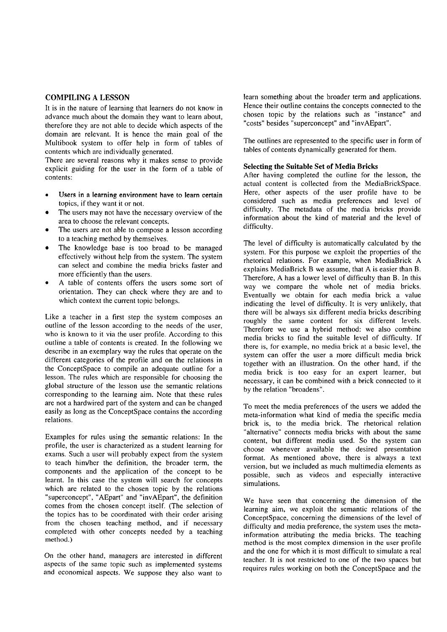# **COMPILING A LESSON**

It is in the nature of learning that learners do not know in advance inuch about the domain they Want to learn about, therefore they are not able to decide which aspects of the domain are relevant. It is hence the main goal of the Multibook system to offer help in form of tables of contents which are individually generated.

There are several reasons why it makes sense to provide explicit guiding for the user in the form of a table of contents:

- Users in a learning environment have to learn certain topics, if they Want it or not.
- The users may not have the necessary overview of the area to choose the relevant concepts.
- The users are not able to compose a lesson according to a teaching method by themselves.
- The knowledge base is too broad to be managed effectively without help from the system. The system can select and combine the media bricks faster and more efficiently than the users.
- A table of contents offers the users some sort of orientation. They can check where they are and to which context the current topic belongs.

Like a teacher in a first step the system composes an outline of the lesson according to the needs of the user, who is known to it via the user profile. According to this outline a table of contents is created. In the following we describe in an exemplary way the rules that operate on the different categories of the profile and on the relations in the ConceptSpace to compile an adequate outline for a lesson. The rules which are responsible for choosing the global structure of the lesson use the semantic relations corresponding to the learning aim. Note that these rules are not a hardwired part of the system and can be changed easily as long as the ConceptSpace contains the according relations.

Examples for rules using the semantic relations: In the profile, the user is characterized as a student learning for exams. Such a user will probably expect from the system to teach him/her the definition, the broader term, the components and the application of the concept to be learnt. In this case the system will search for concepts which are related to the chosen topic by the relations "superconcept", "AEpart" and "invAEpart", the definition comes from the chosen concept itself. (The selection of the topics has to be coordinated with their order arising from the chosen teaching method, and if necessary completed with other concepts needed by a teaching method.)

On the other hand, managers are interested in different aspects of the same topic such as implemented systems and economical aspects. We suppose they also Want to learn something about the broader term and applications. Hence their outline contains the concepts connected to the chosen topic by the relations such as "instance" and "costs" besides "superconcept" and "invAEpart".

The outlines are represented to the specific user in form of tables of contents dynamically generated for them.

#### **Selecting the Suitable Set of Media Bricks**

After having completed the outline for the lesson, the actual content is collected from the MediaBrickSpace. Here, other aspects of the user profile have to be considered such as media preferences and level of difficulty. The metadata of the media bricks provide information about the kind of material and the level of difficulty.

The level of difficulty is automatically calculated by the system. For this purpose we exploit the properties of the rhetorical relations. For example, when MediaBrick A explains MediaBrick B we assume, that **A** is easier than B. Therefore, A has a lower level of difficulty than B. In this way we compare the whole net of media bricks. Eventually we obtain for each media brick a value indicating the level of difficulty. It is very unlikely, that there will be always six different media bricks describing roughly the Same content for six different levels. Therefore we use a hybrid method: we also combine media bricks to find the suitable level of difficulty. If there is, for example, no media brick at a basic level, the system can offer the user a more difficult media brick together with an illustration. On the other hand, if the media brick is too easy for an expert learner, but necessary, it can be combined with a brick connected to it by the relation "broadens".

To meet the media preferences of the users we added the meta-information what kind of media the specific media brick is, to the media brick. The rhetorical relation "alternative" connects media bricks with about the Same content, but different media used. So the system can choose whenever available the desired presentation format. As mentioned above, there is always a text version, but we included as much multimedia elements as possible, such as videos and especially interactive simulations.

We have seen that concerning the dimension of the learning aim, we exploit the semantic relations of the ConceptSpace, concerning the dimensions of the level of difficulty and media preference, the system uses the metainformation attributing the media bricks. The teaching method is the most complex dimension in the user profile and the one for which it is most difficult to simulate a real teacher. It is not restricted to one of the two spaces but requires rules working on both the ConceptSpace and the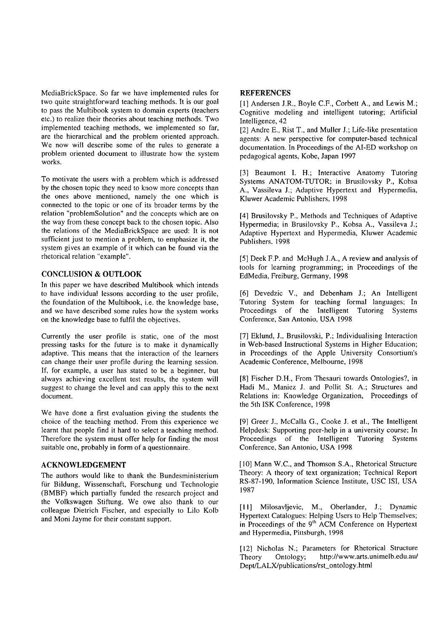MediaBrickSpace. So far we have implemented rules for two quite straightforward teaching methods. It is our goal to pass the Multibook system to domain experts (teachers etc.) to realize their theories about teaching methods. Two implemented teaching methods, we implemented so far, are the hierarchical and the problem oriented approach. We now will describe some of the rules to generate a problem oriented document to illustrate how the system works.

To motivate the users with a problem which is addressed by the chosen topic they need to know more concepts than the ones above mentioned, namely the one which is connected to the topic or one of its broader terms by the relation "problemSolution" and the concepts which are on the way from these concept back to the chosen topic. Also the relations of the MediaBrickSpace are used: It is not sufficient just to mention a problem, to emphasize it, the system gives an example of it which can be found via the rhetorical relation "example".

## **CONCLUSION** & **OUTLOOK**

In this paper we have described Multibook which intends to have individual lessons according to the user profile, the foundation of the Multibook, i.e. the knowledge base, and we have described some rules how the system works on the knowledge base to fulfil the objectives.

Currently the user profile is static, one of the most pressing tasks for the future is to make it dynamically adaptive. This means that the interaction of the learners can change their user profile during the learning session. If, for example, a user has stated to be a beginner, but always achieving excellent test results, the system will suggest to change the level and can apply this to the next document.

We have done a first evaluation giving the students the choice of the teaching method. From this experience we learnt that people find it hard to select a teaching method. Therefore the system must offer help for finding the most suitable one, probably in form of a questionnaire.

#### **ACKNOWLEDGEMENT**

The authors would like to thank the Bundesministerium für Bildung, Wissenschaft, Forschung und Technologie (BMBF) which partially funded the research project and the Volkswagen Stiftung. We owe also thank to our colleague Dietrich Fischer, and especially to Lilo Kolb and Moni Jayme for their constant Support.

#### **REFERENCES**

[1] Andersen J.R., Boyle C.F., Corbett A., and Lewis M.; Cognitive modeling and intelligent tutoring; Artificial Intelligence, 42

[2] Andre E., Rist T., and Muller J.; Life-like presentation agents: A new perspective for computer-based technical documentation. In Proceedings of the AI-ED workshop on pedagogical agents, Kobe, Japan 1997

[3] Beaumont I. H.; Interactive Anatomy Tutoring Systems ANATOM-TUTOR; in Brusilovsky P., Kobsa A., Vassileva J.; Adaptive Hypertext and Hypermedia, Kluwer Academic Publishers, 1998

[4] Brusilovsky P., Methods and Techniques of Adaptive Hypermedia; in Brusilovsky P., Kobsa A., Vassileva J.; Adaptive Hypertext and Hypermedia, Kluwer Academic Publishers. 1998

[5] Deek F.P. and McHugh J.A., A review and analysis of tools for learning programming; in Proceedings of the EdMedia, Freiburg, Germany, 1998

[6] Devedzic V., and Debenham J.; An Intelligent Tutoring System for teaching formal languages; In Proceedings of the Intelligent Tutoring Systems Conference, San Antonio, USA 1998

[7] Eklund, J., Brusilovski, P.; Individualising Interaction in Web-based Instructional Systems in Higher Education; in Proceedings of the Apple University Consortium's Academic Conference, Melbourne, 1998

[8] Fischer D.H., From Thesauri towards Ontologies?, in Hadi M., Maniez J. and Pollit St. A.; Structures and Relations in: Knowledge Organization, Proceedings of the 5th ISK Conference, 1998

[9] Greer J., McCalla G., Cooke J. et al., The Intelligent Helpdesk: Supporting peer-help in a university Course; In Proceedings of the Intelligent Tutoring Systems Conference, San Antonio, USA 1998

[10] Mann W.C., and Thomson S.A., Rhetorical Structure Theory: A theory of text organization; Technical Report RS-87-190, Information Science Institute, USC ISI, USA 1987

[I11 Milosavljevic, M., Oberlander, J.; Dynamic Hypertext Catalogues: Helping Users to Help Themselves; in Proceedings of the  $9<sup>th</sup>$  ACM Conference on Hypertext and Hypermedia, Pittsburgh, 1998

[12] Nicholas N.; Parameters for Rhetorical Structure<br>Theory Ontology; http://www.arts.unimelb.edu.au/ Theory Ontology; http://www.arts.unimelb.edu.au/ **Dept/LALX/publications/rst\_ontology.html**